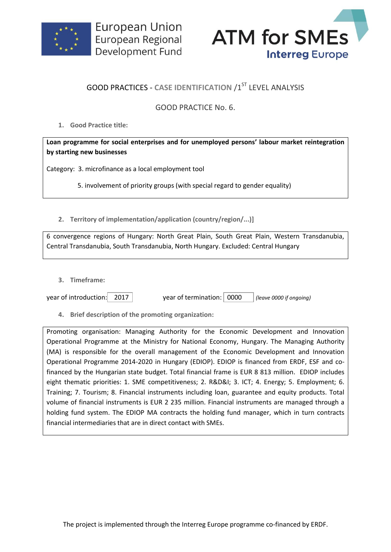



## **GOOD PRACTICES - CASE IDENTIFICATION /1ST LEVEL ANALYSIS**

## GOOD PRACTICE No. 6.

**1. Good Practice title:**

**Loan programme for social enterprises and for unemployed persons' labour market reintegration by starting new businesses** 

Category: 3. microfinance as a local employment tool

5. involvement of priority groups (with special regard to gender equality)

**2. Territory of implementation/application (country/region/...)]**

6 convergence regions of Hungary: North Great Plain, South Great Plain, Western Transdanubia, Central Transdanubia, South Transdanubia, North Hungary. Excluded: Central Hungary

**3. Timeframe:**

year of introduction: 2017 year of termination: 0000 *(leave 0000 if ongoing)* 

**4. Brief description of the promoting organization:**

Promoting organisation: Managing Authority for the Economic Development and Innovation Operational Programme at the Ministry for National Economy, Hungary. The Managing Authority (MA) is responsible for the overall management of the Economic Development and Innovation Operational Programme 2014-2020 in Hungary (EDIOP). EDIOP is financed from ERDF, ESF and cofinanced by the Hungarian state budget. Total financial frame is EUR 8 813 million. EDIOP includes eight thematic priorities: 1. SME competitiveness; 2. R&D&I; 3. ICT; 4. Energy; 5. Employment; 6. Training; 7. Tourism; 8. Financial instruments including loan, guarantee and equity products. Total volume of financial instruments is EUR 2 235 million. Financial instruments are managed through a holding fund system. The EDIOP MA contracts the holding fund manager, which in turn contracts financial intermediaries that are in direct contact with SMEs.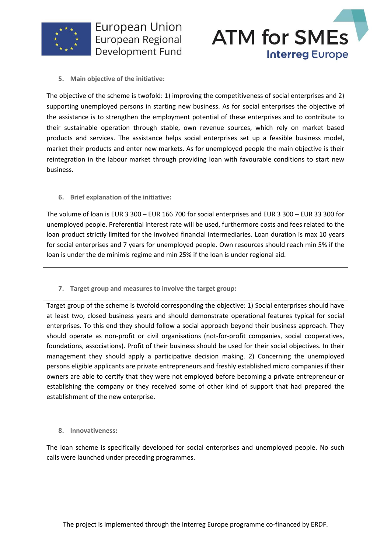



**5. Main objective of the initiative:**

The objective of the scheme is twofold: 1) improving the competitiveness of social enterprises and 2) supporting unemployed persons in starting new business. As for social enterprises the objective of the assistance is to strengthen the employment potential of these enterprises and to contribute to their sustainable operation through stable, own revenue sources, which rely on market based products and services. The assistance helps social enterprises set up a feasible business model, market their products and enter new markets. As for unemployed people the main objective is their reintegration in the labour market through providing loan with favourable conditions to start new business.

**6. Brief explanation of the initiative:**

The volume of loan is EUR 3 300 – EUR 166 700 for social enterprises and EUR 3 300 – EUR 33 300 for unemployed people. Preferential interest rate will be used, furthermore costs and fees related to the loan product strictly limited for the involved financial intermediaries. Loan duration is max 10 years for social enterprises and 7 years for unemployed people. Own resources should reach min 5% if the loan is under the de minimis regime and min 25% if the loan is under regional aid.

**7. Target group and measures to involve the target group:**

Target group of the scheme is twofold corresponding the objective: 1) Social enterprises should have at least two, closed business years and should demonstrate operational features typical for social enterprises. To this end they should follow a social approach beyond their business approach. They should operate as non-profit or civil organisations (not-for-profit companies, social cooperatives, foundations, associations). Profit of their business should be used for their social objectives. In their management they should apply a participative decision making. 2) Concerning the unemployed persons eligible applicants are private entrepreneurs and freshly established micro companies if their owners are able to certify that they were not employed before becoming a private entrepreneur or establishing the company or they received some of other kind of support that had prepared the establishment of the new enterprise.

## **8. Innovativeness:**

The loan scheme is specifically developed for social enterprises and unemployed people. No such calls were launched under preceding programmes.